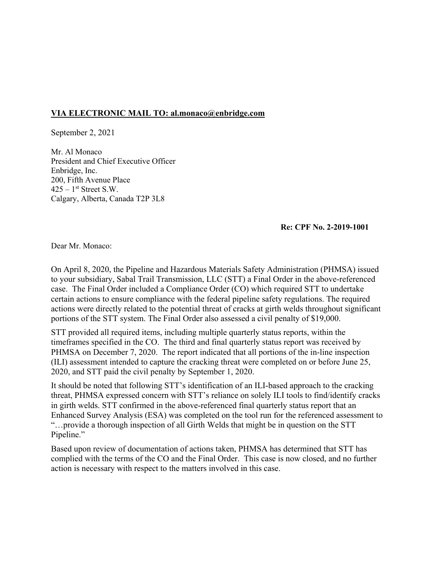## **VIA ELECTRONIC MAIL TO: [al.monaco@enbridge.com](mailto:al.monaco@enbridge.com)**

September 2, 2021

Mr. Al Monaco President and Chief Executive Officer Enbridge, Inc. 200, Fifth Avenue Place  $425 - 1$ <sup>st</sup> Street S.W. Calgary, Alberta, Canada T2P 3L8

**Re: CPF No. 2-2019-1001** 

Dear Mr. Monaco:

On April 8, 2020, the Pipeline and Hazardous Materials Safety Administration (PHMSA) issued to your subsidiary, Sabal Trail Transmission, LLC (STT) a Final Order in the above-referenced case. The Final Order included a Compliance Order (CO) which required STT to undertake certain actions to ensure compliance with the federal pipeline safety regulations. The required actions were directly related to the potential threat of cracks at girth welds throughout significant portions of the STT system. The Final Order also assessed a civil penalty of \$19,000.

STT provided all required items, including multiple quarterly status reports, within the timeframes specified in the CO. The third and final quarterly status report was received by PHMSA on December 7, 2020. The report indicated that all portions of the in-line inspection (ILI) assessment intended to capture the cracking threat were completed on or before June 25, 2020, and STT paid the civil penalty by September 1, 2020.

It should be noted that following STT's identification of an ILI-based approach to the cracking threat, PHMSA expressed concern with STT's reliance on solely ILI tools to find/identify cracks in girth welds. STT confirmed in the above-referenced final quarterly status report that an Enhanced Survey Analysis (ESA) was completed on the tool run for the referenced assessment to "…provide a thorough inspection of all Girth Welds that might be in question on the STT Pipeline."

Based upon review of documentation of actions taken, PHMSA has determined that STT has complied with the terms of the CO and the Final Order. This case is now closed, and no further action is necessary with respect to the matters involved in this case.